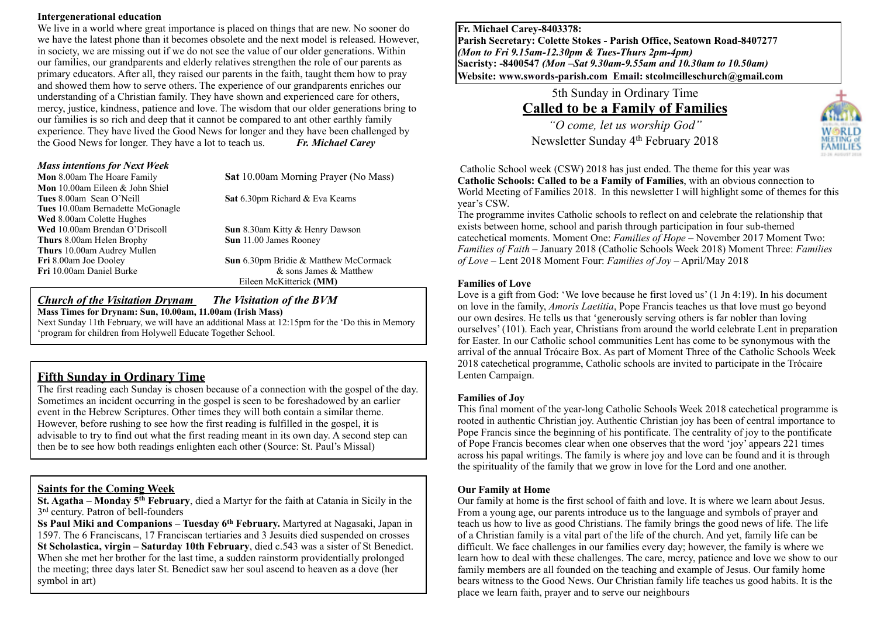#### **Intergenerational education**

We live in a world where great importance is placed on things that are new. No sooner do we have the latest phone than it becomes obsolete and the next model is released. However, in society, we are missing out if we do not see the value of our older generations. Within our families, our grandparents and elderly relatives strengthen the role of our parents as primary educators. After all, they raised our parents in the faith, taught them how to pray and showed them how to serve others. The experience of our grandparents enriches our understanding of a Christian family. They have shown and experienced care for others, mercy, justice, kindness, patience and love. The wisdom that our older generations bring to our families is so rich and deep that it cannot be compared to ant other earthly family experience. They have lived the Good News for longer and they have been challenged by the Good News for longer. They have a lot to teach us. *Fr. Michael Carey*

| <b>Mass intentions for Next Week</b>   |                                        |
|----------------------------------------|----------------------------------------|
| Mon 8.00am The Hoare Family            | Sat 10.00am Morning Prayer (No Mass)   |
| <b>Mon</b> 10.00am Eileen & John Shiel |                                        |
| Tues 8.00am Sean O'Neill               | Sat 6.30pm Richard & Eva Kearns        |
| Tues 10.00am Bernadette McGonagle      |                                        |
| Wed 8.00am Colette Hughes              |                                        |
| Wed 10.00am Brendan O'Driscoll         | <b>Sun</b> 8.30am Kitty & Henry Dawson |
| <b>Thurs</b> 8.00am Helen Brophy       | <b>Sun</b> 11.00 James Rooney          |
| Thurs 10.00am Audrey Mullen            |                                        |
| Fri 8.00am Joe Dooley                  | Sun 6.30pm Bridie & Matthew McCormack  |
| Fri 10.00am Daniel Burke               | & sons James & Matthew                 |
|                                        | Eileen McKitterick (MM)                |

#### *Church of the Visitation Drynam**The Visitation of the BVM* **Mass Times for Drynam: Sun, 10.00am, 11.00am (Irish Mass)**

Next Sunday 11th February, we will have an additional Mass at 12:15pm for the 'Do this in Memory 'program for children from Holywell Educate Together School.

# **Fifth Sunday in Ordinary Time**

The first reading each Sunday is chosen because of a connection with the gospel of the day. Sometimes an incident occurring in the gospel is seen to be foreshadowed by an earlier event in the Hebrew Scriptures. Other times they will both contain a similar theme. However, before rushing to see how the first reading is fulfilled in the gospel, it is advisable to try to find out what the first reading meant in its own day. A second step can then be to see how both readings enlighten each other (Source: St. Paul's Missal)

## **Saints for the Coming Week**

**St. Agatha – Monday 5th February**, died a Martyr for the faith at Catania in Sicily in the 3rd century. Patron of bell-founders

**Ss Paul Miki and Companions – Tuesday 6th February.** Martyred at Nagasaki, Japan in 1597. The 6 Franciscans, 17 Franciscan tertiaries and 3 Jesuits died suspended on crosses **St Scholastica, virgin – Saturday 10th February**, died c.543 was a sister of St Benedict. When she met her brother for the last time, a sudden rainstorm providentially prolonged the meeting; three days later St. Benedict saw her soul ascend to heaven as a dove (her symbol in art)

**Fr. Michael Carey-8403378: Parish Secretary: Colette Stokes - Parish Office, Seatown Road-8407277**  *(Mon to Fri 9.15am-12.30pm & Tues-Thurs 2pm-4pm)*  **Sacristy: -8400547** *(Mon –Sat 9.30am-9.55am and 10.30am to 10.50am)* **Website: [www.swords-parish.com Email:](http://www.swords-parish.com%20%20email) stcolmcilleschurch@gmail.com**

> 5th Sunday in Ordinary Time **Called to be a Family of Families**

*"O come, let us worship God"*  Newsletter Sunday 4th February 2018



 Catholic School week (CSW) 2018 has just ended. The theme for this year was **Catholic Schools: Called to be a Family of Families**, with an obvious connection to World Meeting of Families 2018. In this newsletter I will highlight some of themes for this year's CSW.

The programme invites Catholic schools to reflect on and celebrate the relationship that exists between home, school and parish through participation in four sub-themed catechetical moments. Moment One: *Families of Hope* – November 2017 Moment Two: *Families of Faith* – January 2018 (Catholic Schools Week 2018) Moment Three: *Families of Love* – Lent 2018 Moment Four: *Families of Joy* – April/May 2018

#### **Families of Love**

Love is a gift from God: 'We love because he first loved us' (1 Jn 4:19). In his document on love in the family, *Amoris Laetitia*, Pope Francis teaches us that love must go beyond our own desires. He tells us that 'generously serving others is far nobler than loving ourselves' (101). Each year, Christians from around the world celebrate Lent in preparation for Easter. In our Catholic school communities Lent has come to be synonymous with the arrival of the annual Trócaire Box. As part of Moment Three of the Catholic Schools Week 2018 catechetical programme, Catholic schools are invited to participate in the Trócaire Lenten Campaign.

### **Families of Joy**

This final moment of the year-long Catholic Schools Week 2018 catechetical programme is rooted in authentic Christian joy. Authentic Christian joy has been of central importance to Pope Francis since the beginning of his pontificate. The centrality of joy to the pontificate of Pope Francis becomes clear when one observes that the word 'joy' appears 221 times across his papal writings. The family is where joy and love can be found and it is through the spirituality of the family that we grow in love for the Lord and one another.

### **Our Family at Home**

Our family at home is the first school of faith and love. It is where we learn about Jesus. From a young age, our parents introduce us to the language and symbols of prayer and teach us how to live as good Christians. The family brings the good news of life. The life of a Christian family is a vital part of the life of the church. And yet, family life can be difficult. We face challenges in our families every day; however, the family is where we learn how to deal with these challenges. The care, mercy, patience and love we show to our family members are all founded on the teaching and example of Jesus. Our family home bears witness to the Good News. Our Christian family life teaches us good habits. It is the place we learn faith, prayer and to serve our neighbours